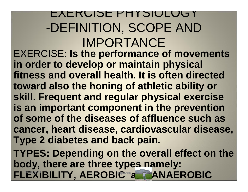EXERUISE PHYSIUL -DEFINITION, SCOPE AND IMPORTANCE EXERCISE: **Is the performance of movements in order to develop or maintain physical fitness and overall health. It is often directed toward also the honing of athletic ability or skill. Frequent and regular physical exercise is an important component in the prevention of some of the diseases of affluence such as cancer, heart disease, cardiovascular disease, Type 2 diabetes and back pain. TYPES: Depending on the overall effect on the body, there are three types namely: FLEXIBILITY, AEROBIC<sup>200</sup>a ANAEROBIC**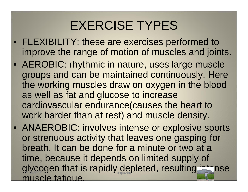## EXERCISE TYPES

- FLEXIBILITY: these are exercises performed to improve the range of motion of muscles and joints.
- AEROBIC: rhythmic in nature, uses large muscle groups and can be maintained continuously. Here the working muscles draw on oxygen in the blood as well as fat and glucose to increase cardiovascular endurance(causes the heart to work harder than at rest) and muscle density.
- ANAEROBIC: involves intense or explosive sports or strenuous activity that leaves one gasping for breath. It can be done for a minute or two at a time, because it depends on limited supply of glycogen that is rapidly depleted, resulting intense muscle fatigue.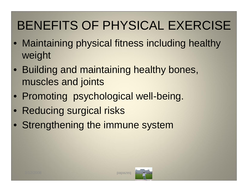# BENEFITS OF PHYSICAL EXERCISE

- Maintaining physical fitness including healthy weight
- Building and maintaining healthy bones, muscles and joints
- Promoting psychological well-being.
- Reducing surgical risks
- Strengthening the immune system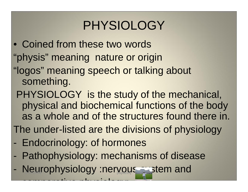## PHYSIOLOGY

- Coined from these two words
- "physis" meaning nature or origin
- "logos" meaning speech or talking about something.
- PHYSIOLOGY is the study of the mechanical, physical and biochemical functions of the body as a whole and of the structures found there in.
- The under-listed are the divisions of physiology
- Endocrinology: of hormones

- comparative physiology:

- Pathophysiology: mechanisms of disease
- Neurophysiology :nervous a stem and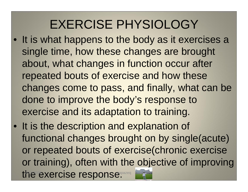## EXERCISE PHYSIOLOGY

- It is what happens to the body as it exercises a single time, how these changes are brought about, what changes in function occur after repeated bouts of exercise and how these changes come to pass, and finally, what can be done to improve the body's response to exercise and its adaptation to training.
- It is the description and explanation of functional changes brought on by single(acute) or repeated bouts of exercise(chronic exercise or training), often with the objective of improving the exercise response.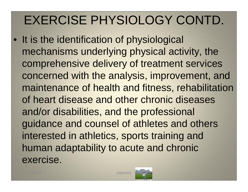# EXERCISE PHYSIOLOGY CONTD.

• It is the identification of physiological mechanisms underlying physical activity, the comprehensive delivery of treatment services concerned with the analysis, improvement, and maintenance of health and fitness, rehabilitation of heart disease and other chronic diseases and/or disabilities, and the professional guidance and counsel of athletes and others interested in athletics, sports training and human adaptability to acute and chronic exercise.



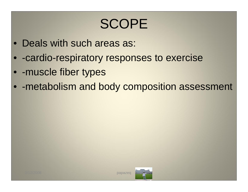# SCOPE

- Deals with such areas as:
- -cardio-respiratory responses to exercise
- - muscle fiber types
- -metabolism and body composition assessment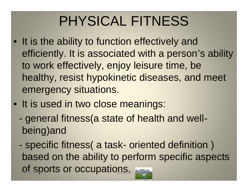# PHYSICAL FITNESS

- It is the ability to function effectively and efficiently. It is associated with a person's ability to work effectively, enjoy leisure time, be healthy, resist hypokinetic diseases, and meet emergency situations.
- It is used in two close meanings:
	- general fitness(a state of health and wellbeing)and
	- specific fitness( a task- oriented definition ) based on the ability to perform specific aspects of sports or occupations.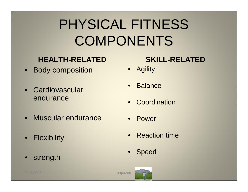# PHYSICAL FITNESS COMPONENTS

#### **HEALTH-RELATED**

- Body composition
- Cardiovascular endurance
- Muscular endurance
- Flexibility
- strength

#### **SKILL-RELATED**

- Agility
- **Balance**
- Coordination
- Power
- Reaction time
- **Speed**

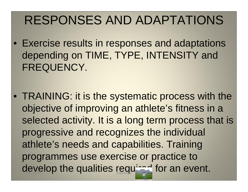### RESPONSES AND ADAPTATIONS

- Exercise results in responses and adaptations depending on TIME, TYPE, INTENSITY and FREQUENCY.
- TRAINING: it is the systematic process with the objective of improving an athlete's fitness in a selected activity. It is a long term process that is progressive and recognizes the individual athlete's needs and capabilities. Training programmes use exercise or practice to develop the qualities required for an event.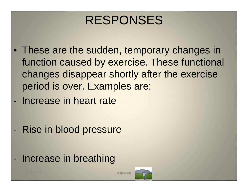### RESPONSES

- These are the sudden, temporary changes in function caused by exercise. These functional changes disappear shortly after the exercise period is over. Examples are:
- Increase in heart rate
- Rise in blood pressure
- Increase in breathing

2/12/2008 papazeq

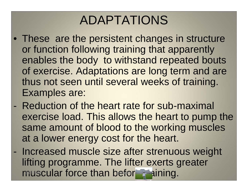## ADAPTATIONS

- These are the persistent changes in structure or function following training that apparently enables the body to withstand repeated bouts of exercise. Adaptations are long term and are thus not seen until several weeks of training. Examples are:
- Reduction of the heart rate for sub-maximal exercise load. This allows the heart to pump the same amount of blood to the working muscles at a lower energy cost for the heart.
- Increased muscle size after strenuous weight lifting programme. The lifter exerts greater muscular force than before training.